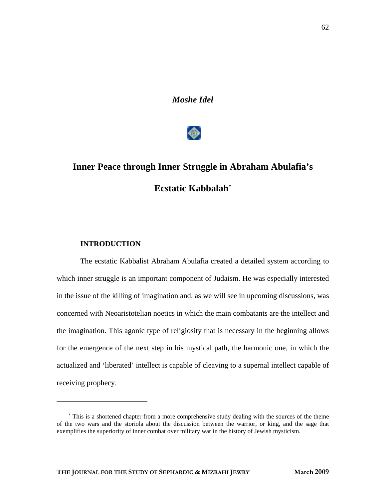*Moshe Idel* 



# **Inner Peace through Inner Struggle in Abraham Abulafia's Ecstatic Kabbalah**[∗](#page-0-0)

### **INTRODUCTION**

 $\overline{a}$ 

The ecstatic Kabbalist Abraham Abulafia created a detailed system according to which inner struggle is an important component of Judaism. He was especially interested in the issue of the killing of imagination and, as we will see in upcoming discussions, was concerned with Neoaristotelian noetics in which the main combatants are the intellect and the imagination. This agonic type of religiosity that is necessary in the beginning allows for the emergence of the next step in his mystical path, the harmonic one, in which the actualized and 'liberated' intellect is capable of cleaving to a supernal intellect capable of receiving prophecy.

<span id="page-0-0"></span><sup>∗</sup> This is a shortened chapter from a more comprehensive study dealing with the sources of the theme of the two wars and the storiola about the discussion between the warrior, or king, and the sage that exemplifies the superiority of inner combat over military war in the history of Jewish mysticism.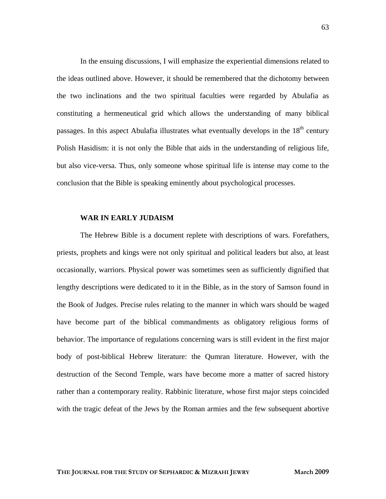In the ensuing discussions, I will emphasize the experiential dimensions related to the ideas outlined above. However, it should be remembered that the dichotomy between the two inclinations and the two spiritual faculties were regarded by Abulafia as constituting a hermeneutical grid which allows the understanding of many biblical passages. In this aspect Abulafia illustrates what eventually develops in the  $18<sup>th</sup>$  century Polish Hasidism: it is not only the Bible that aids in the understanding of religious life, but also vice-versa. Thus, only someone whose spiritual life is intense may come to the conclusion that the Bible is speaking eminently about psychological processes.

#### **WAR IN EARLY JUDAISM**

The Hebrew Bible is a document replete with descriptions of wars. Forefathers, priests, prophets and kings were not only spiritual and political leaders but also, at least occasionally, warriors. Physical power was sometimes seen as sufficiently dignified that lengthy descriptions were dedicated to it in the Bible, as in the story of Samson found in the Book of Judges. Precise rules relating to the manner in which wars should be waged have become part of the biblical commandments as obligatory religious forms of behavior. The importance of regulations concerning wars is still evident in the first major body of post-biblical Hebrew literature: the Qumran literature. However, with the destruction of the Second Temple, wars have become more a matter of sacred history rather than a contemporary reality. Rabbinic literature, whose first major steps coincided with the tragic defeat of the Jews by the Roman armies and the few subsequent abortive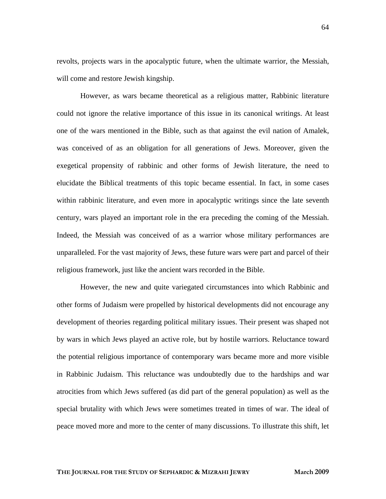revolts, projects wars in the apocalyptic future, when the ultimate warrior, the Messiah, will come and restore Jewish kingship.

However, as wars became theoretical as a religious matter, Rabbinic literature could not ignore the relative importance of this issue in its canonical writings. At least one of the wars mentioned in the Bible, such as that against the evil nation of Amalek, was conceived of as an obligation for all generations of Jews. Moreover, given the exegetical propensity of rabbinic and other forms of Jewish literature, the need to elucidate the Biblical treatments of this topic became essential. In fact, in some cases within rabbinic literature, and even more in apocalyptic writings since the late seventh century, wars played an important role in the era preceding the coming of the Messiah. Indeed, the Messiah was conceived of as a warrior whose military performances are unparalleled. For the vast majority of Jews, these future wars were part and parcel of their religious framework, just like the ancient wars recorded in the Bible.

However, the new and quite variegated circumstances into which Rabbinic and other forms of Judaism were propelled by historical developments did not encourage any development of theories regarding political military issues. Their present was shaped not by wars in which Jews played an active role, but by hostile warriors. Reluctance toward the potential religious importance of contemporary wars became more and more visible in Rabbinic Judaism. This reluctance was undoubtedly due to the hardships and war atrocities from which Jews suffered (as did part of the general population) as well as the special brutality with which Jews were sometimes treated in times of war. The ideal of peace moved more and more to the center of many discussions. To illustrate this shift, let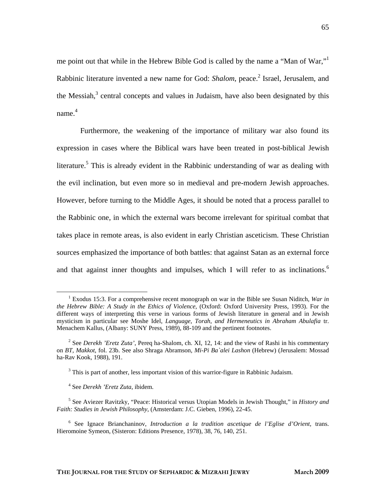me point out that while in the Hebrew Bible God is called by the name a "Man of War,"<sup>1</sup> Rabbinicliterature invented a new name for God: *Shalom*, peace.<sup>2</sup> Israel, Jerusalem, and theMessiah, $3$  central concepts and values in Judaism, have also been designated by this name. [4](#page-3-3)

Furthermore, the weakening of the importance of military war also found its expression in cases where the Biblical wars have been treated in post-biblical Jewish literature.<sup>[5](#page-3-4)</sup> This is already evident in the Rabbinic understanding of war as dealing with the evil inclination, but even more so in medieval and pre-modern Jewish approaches. However, before turning to the Middle Ages, it should be noted that a process parallel to the Rabbinic one, in which the external wars become irrelevant for spiritual combat that takes place in remote areas, is also evident in early Christian asceticism. These Christian sources emphasized the importance of both battles: that against Satan as an external force and that against inner thoughts and impulses, which I will refer to as inclinations.<sup>6</sup>

<span id="page-3-0"></span> $\frac{1}{1}$  Exodus 15:3. For a comprehensive recent monograph on war in the Bible see Susan Niditch, *War in the Hebrew Bible: A Study in the Ethics of Violence*, (Oxford: Oxford University Press, 1993). For the different ways of interpreting this verse in various forms of Jewish literature in general and in Jewish mysticism in particular see Moshe Idel, *Language, Torah, and Hermeneutics in Abraham Abulafia* tr. Menachem Kallus, (Albany: SUNY Press, 1989), 88-109 and the pertinent footnotes.

<span id="page-3-1"></span><sup>2</sup> See *Derekh 'Eretz Zuta'*, Pereq ha-Shalom, ch. XI, 12, 14: and the view of Rashi in his commentary on *BT, Makkot*, fol. 23b. See also Shraga Abramson, *Mi-Pi Ba`alei Lashon* (Hebrew) (Jerusalem: Mossad ha-Rav Kook, 1988), 191.

<span id="page-3-2"></span> $3$  This is part of another, less important vision of this warrior-figure in Rabbinic Judaism.

<span id="page-3-3"></span><sup>4</sup> See *Derekh 'Eretz Zuta*, ibidem.

<span id="page-3-4"></span><sup>5</sup> See Aviezer Ravitzky, "Peace: Historical versus Utopian Models in Jewish Thought," in *History and Faith: Studies in Jewish Philosophy*, (Amsterdam: J.C. Gieben, 1996), 22-45.

<span id="page-3-5"></span><sup>6</sup> See Ignace Brianchaninov, *Introduction a la tradition ascetique de l'Eglise d'Orient*, trans. Hieromoine Symeon, (Sisteron: Editions Presence, 1978), 38, 76, 140, 251.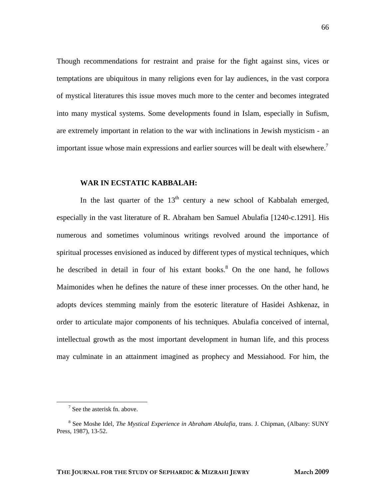Though recommendations for restraint and praise for the fight against sins, vices or temptations are ubiquitous in many religions even for lay audiences, in the vast corpora of mystical literatures this issue moves much more to the center and becomes integrated into many mystical systems. Some developments found in Islam, especially in Sufism, are extremely important in relation to the war with inclinations in Jewish mysticism - an important issue whose main expressions and earlier sources will be dealt with elsewhere.<sup>7</sup>

#### **WAR IN ECSTATIC KABBALAH:**

In the last quarter of the  $13<sup>th</sup>$  century a new school of Kabbalah emerged, especially in the vast literature of R. Abraham ben Samuel Abulafia [1240-c.1291]. His numerous and sometimes voluminous writings revolved around the importance of spiritual processes envisioned as induced by different types of mystical techniques, which he described in detail in four of his extant books.<sup>[8](#page-4-1)</sup> On the one hand, he follows Maimonides when he defines the nature of these inner processes. On the other hand, he adopts devices stemming mainly from the esoteric literature of Hasidei Ashkenaz, in order to articulate major components of his techniques. Abulafia conceived of internal, intellectual growth as the most important development in human life, and this process may culminate in an attainment imagined as prophecy and Messiahood. For him, the

 $\frac{1}{7}$  $\frac{7}{1}$  See the asterisk fn. above.

<span id="page-4-1"></span><span id="page-4-0"></span><sup>8</sup> See Moshe Idel, *The Mystical Experience in Abraham Abulafia*, trans. J. Chipman, (Albany: SUNY Press, 1987), 13-52.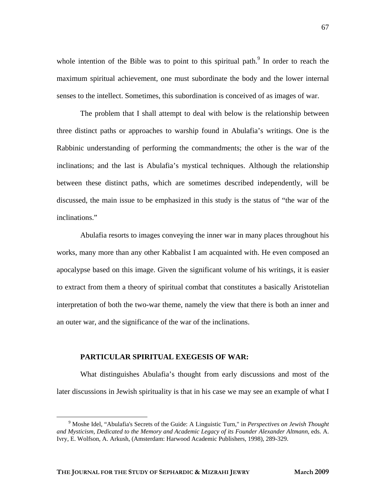whole intention of the Bible was to point to this spiritual path.<sup>[9](#page-5-0)</sup> In order to reach the maximum spiritual achievement, one must subordinate the body and the lower internal senses to the intellect. Sometimes, this subordination is conceived of as images of war.

The problem that I shall attempt to deal with below is the relationship between three distinct paths or approaches to warship found in Abulafia's writings. One is the Rabbinic understanding of performing the commandments; the other is the war of the inclinations; and the last is Abulafia's mystical techniques. Although the relationship between these distinct paths, which are sometimes described independently, will be discussed, the main issue to be emphasized in this study is the status of "the war of the inclinations."

Abulafia resorts to images conveying the inner war in many places throughout his works, many more than any other Kabbalist I am acquainted with. He even composed an apocalypse based on this image. Given the significant volume of his writings, it is easier to extract from them a theory of spiritual combat that constitutes a basically Aristotelian interpretation of both the two-war theme, namely the view that there is both an inner and an outer war, and the significance of the war of the inclinations.

#### **PARTICULAR SPIRITUAL EXEGESIS OF WAR:**

What distinguishes Abulafia's thought from early discussions and most of the later discussions in Jewish spirituality is that in his case we may see an example of what I

<span id="page-5-0"></span> $\frac{1}{9}$  Moshe Idel, "Abulafia's Secrets of the Guide: A Linguistic Turn," in *Perspectives on Jewish Thought and Mysticism*, *Dedicated to the Memory and Academic Legacy of its Founder Alexander Altmann*, eds. A. Ivry, E. Wolfson, A. Arkush, (Amsterdam: Harwood Academic Publishers, 1998), 289-329.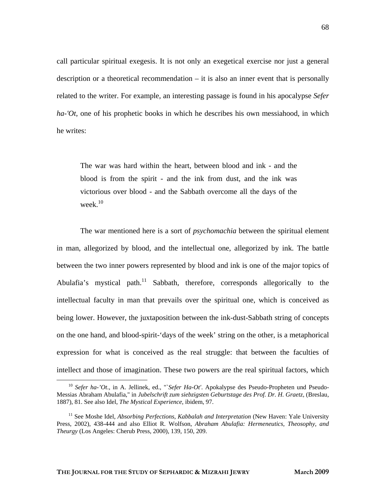call particular spiritual exegesis. It is not only an exegetical exercise nor just a general description or a theoretical recommendation – it is also an inner event that is personally related to the writer. For example, an interesting passage is found in his apocalypse *Sefer ha-'Ot*, one of his prophetic books in which he describes his own messiahood, in which he writes:

The war was hard within the heart, between blood and ink - and the blood is from the spirit - and the ink from dust, and the ink was victorious over blood - and the Sabbath overcome all the days of the week.<sup>[10](#page-6-0)</sup>

The war mentioned here is a sort of *psychomachia* between the spiritual element in man, allegorized by blood, and the intellectual one, allegorized by ink. The battle between the two inner powers represented by blood and ink is one of the major topics of Abulafia's mystical path.<sup>11</sup> Sabbath, therefore, corresponds allegorically to the intellectual faculty in man that prevails over the spiritual one, which is conceived as being lower. However, the juxtaposition between the ink-dust-Sabbath string of concepts on the one hand, and blood-spirit-'days of the week' string on the other, is a metaphorical expression for what is conceived as the real struggle: that between the faculties of intellect and those of imagination. These two powers are the real spiritual factors, which

<span id="page-6-0"></span> <sup>10</sup> *Sefer ha-'Ot*., in A. Jellinek, ed., "`*Sefer Ha-Ot'*. Apokalypse des Pseudo-Propheten und Pseudo-Messias Abraham Abulafia," in *Jubelschrift zum siebzigsten Geburtstage des Prof. Dr. H. Graetz,* (Breslau, 1887), 81. See also Idel, *The Mystical Experience*, ibidem, 97.

<span id="page-6-1"></span><sup>11</sup> See Moshe Idel, *Absorbing Perfections*, *Kabbalah and Interpretation* (New Haven: Yale University Press, 2002), 438-444 and also Elliot R. Wolfson, *Abraham Abulafia: Hermeneutics, Theosophy, and Theurgy* (Los Angeles: Cherub Press, 2000), 139, 150, 209.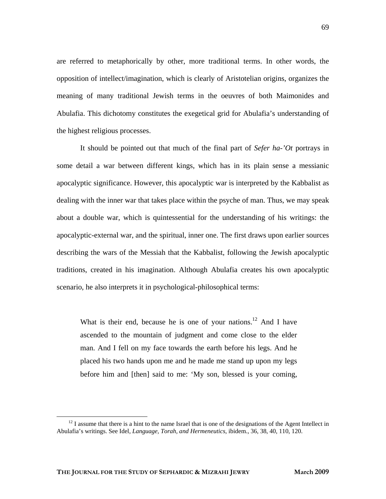are referred to metaphorically by other, more traditional terms. In other words, the opposition of intellect/imagination, which is clearly of Aristotelian origins, organizes the meaning of many traditional Jewish terms in the oeuvres of both Maimonides and Abulafia. This dichotomy constitutes the exegetical grid for Abulafia's understanding of the highest religious processes.

It should be pointed out that much of the final part of *Sefer ha-'Ot* portrays in some detail a war between different kings, which has in its plain sense a messianic apocalyptic significance. However, this apocalyptic war is interpreted by the Kabbalist as dealing with the inner war that takes place within the psyche of man. Thus, we may speak about a double war, which is quintessential for the understanding of his writings: the apocalyptic-external war, and the spiritual, inner one. The first draws upon earlier sources describing the wars of the Messiah that the Kabbalist, following the Jewish apocalyptic traditions, created in his imagination. Although Abulafia creates his own apocalyptic scenario, he also interprets it in psychological-philosophical terms:

What is their end, because he is one of your nations.<sup>12</sup> And I have ascended to the mountain of judgment and come close to the elder man. And I fell on my face towards the earth before his legs. And he placed his two hands upon me and he made me stand up upon my legs before him and [then] said to me: 'My son, blessed is your coming,

<span id="page-7-0"></span> $12$  I assume that there is a hint to the name Israel that is one of the designations of the Agent Intellect in Abulafia's writings. See Idel*, Language, Torah, and Hermeneutics*, ibidem., 36, 38, 40, 110, 120.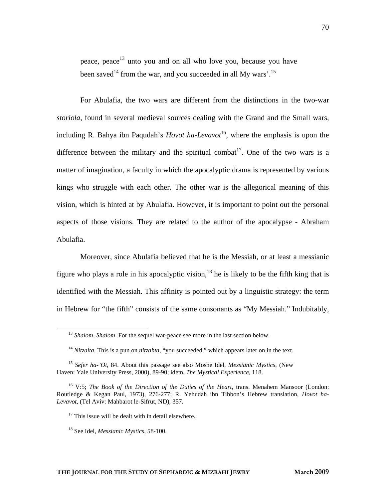peace, peace<sup>13</sup> unto you and on all who love you, because you have been saved<sup>14</sup> from the war, and you succeeded in all My wars'.<sup>[15](#page-8-2)</sup>

For Abulafia, the two wars are different from the distinctions in the two-war *storiola*, found in several medieval sources dealing with the Grand and the Small wars, including R. Bahya ibn Paqudah's *Hovot ha-Levavot*<sup>16</sup>, where the emphasis is upon the difference between the military and the spiritual combat<sup>17</sup>. One of the two wars is a matter of imagination, a faculty in which the apocalyptic drama is represented by various kings who struggle with each other. The other war is the allegorical meaning of this vision, which is hinted at by Abulafia. However, it is important to point out the personal aspects of those visions. They are related to the author of the apocalypse - Abraham Abulafia.

Moreover, since Abulafia believed that he is the Messiah, or at least a messianic figure who plays a role in his apocalyptic vision,  $18$  he is likely to be the fifth king that is identified with the Messiah. This affinity is pointed out by a linguistic strategy: the term in Hebrew for "the fifth" consists of the same consonants as "My Messiah." Indubitably,

<sup>&</sup>lt;sup>13</sup> *Shalom, Shalom.* For the sequel war-peace see more in the last section below.

<span id="page-8-2"></span><span id="page-8-1"></span><span id="page-8-0"></span><sup>14</sup> *Nitzalta*. This is a pun on *nitzahta*, "you succeeded," which appears later on in the text.

<sup>15</sup> *Sefer ha-'Ot*, 84. About this passage see also Moshe Idel, *Messianic Mystics*, (New Haven: Yale University Press, 2000), 89-90; idem, *The Mystical Experience*, 118.

<span id="page-8-3"></span><sup>16</sup> V:5; *The Book of the Direction of the Duties of the Heart*, trans. Menahem Mansoor (London: Routledge & Kegan Paul, 1973), 276-277; R. Yehudah ibn Tibbon's Hebrew translation, *Hovot ha-Levavot*, (Tel Aviv: Mahbarot le-Sifrut, ND), 357.

 $17$  This issue will be dealt with in detail elsewhere.

<span id="page-8-5"></span><span id="page-8-4"></span><sup>18</sup> See Idel, *Messianic Mystics*, 58-100.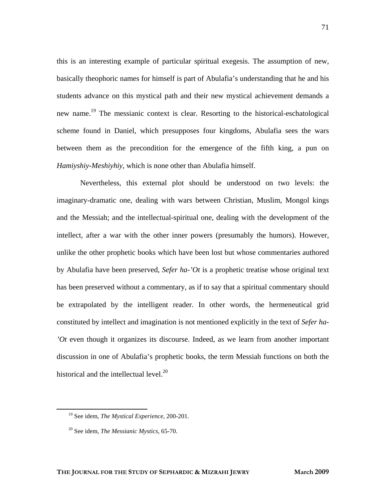this is an interesting example of particular spiritual exegesis. The assumption of new, basically theophoric names for himself is part of Abulafia's understanding that he and his students advance on this mystical path and their new mystical achievement demands a new name.<sup>19</sup> The messianic context is clear. Resorting to the historical-eschatological scheme found in Daniel, which presupposes four kingdoms, Abulafia sees the wars between them as the precondition for the emergence of the fifth king, a pun on *Hamiyshiy*-*Meshiyhiy*, which is none other than Abulafia himself.

Nevertheless, this external plot should be understood on two levels: the imaginary-dramatic one, dealing with wars between Christian, Muslim, Mongol kings and the Messiah; and the intellectual-spiritual one, dealing with the development of the intellect, after a war with the other inner powers (presumably the humors). However, unlike the other prophetic books which have been lost but whose commentaries authored by Abulafia have been preserved, *Sefer ha-'Ot* is a prophetic treatise whose original text has been preserved without a commentary, as if to say that a spiritual commentary should be extrapolated by the intelligent reader. In other words, the hermeneutical grid constituted by intellect and imagination is not mentioned explicitly in the text of *Sefer ha- 'Ot* even though it organizes its discourse. Indeed, as we learn from another important discussion in one of Abulafia's prophetic books, the term Messiah functions on both the historical and the intellectual level. $^{20}$ 

<span id="page-9-0"></span> <sup>19</sup> See idem, *The Mystical Experience*, 200-201.

<span id="page-9-1"></span><sup>20</sup> See idem, *The Messianic Mystics*, 65-70.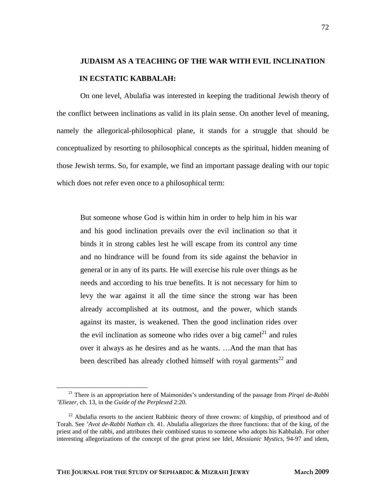## **JUDAISM AS A TEACHING OF THE WAR WITH EVIL INCLINATION IN ECSTATIC KABBALAH:**

On one level, Abulafia was interested in keeping the traditional Jewish theory of the conflict between inclinations as valid in its plain sense. On another level of meaning, namely the allegorical-philosophical plane, it stands for a struggle that should be conceptualized by resorting to philosophical concepts as the spiritual, hidden meaning of those Jewish terms. So, for example, we find an important passage dealing with our topic which does not refer even once to a philosophical term:

But someone whose God is within him in order to help him in his war and his good inclination prevails over the evil inclination so that it binds it in strong cables lest he will escape from its control any time and no hindrance will be found from its side against the behavior in general or in any of its parts. He will exercise his rule over things as he needs and according to his true benefits. It is not necessary for him to levy the war against it all the time since the strong war has been already accomplished at its outmost, and the power, which stands against its master, is weakened. Then the good inclination rides over the evil inclination as someone who rides over a big camel<sup>21</sup> and rules over it always as he desires and as he wants. …And the man that has been described has already clothed himself with royal garments<sup>22</sup> and

<span id="page-10-0"></span> <sup>21</sup> There is an appropriation here of Maimonides's understanding of the passage from *Pirqei de-Rabbi 'Eliezer*, ch. 13, in the *Guide of the Perplexed* 2:20.

<span id="page-10-1"></span> $^{22}$  Abulafia resorts to the ancient Rabbinic theory of three crowns: of kingship, of priesthood and of Torah. See *'Avot de-Rabbi Nathan* ch. 41. Abulafia allegorizes the three functions: that of the king, of the priest and of the rabbi, and attributes their combined status to someone who adopts his Kabbalah. For other interesting allegorizations of the concept of the great priest see Idel*, Messianic Mystics*, 94-97 and idem,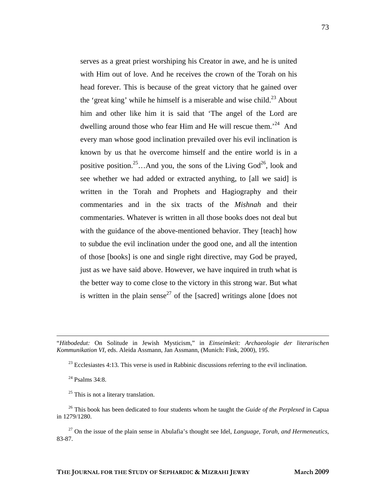serves as a great priest worshiping his Creator in awe, and he is united with Him out of love. And he receives the crown of the Torah on his head forever. This is because of the great victory that he gained over the 'great king' while he himself is a miserable and wise child.<sup>23</sup> About him and other like him it is said that 'The angel of the Lord are dwelling around those who fear Him and He will rescue them.'[24](#page-11-1) And every man whose good inclination prevailed over his evil inclination is known by us that he overcome himself and the entire world is in a positive position.<sup>25</sup>…And you, the sons of the Living God<sup>26</sup>, look and see whether we had added or extracted anything, to [all we said] is written in the Torah and Prophets and Hagiography and their commentaries and in the six tracts of the *Mishnah* and their commentaries. Whatever is written in all those books does not deal but with the guidance of the above-mentioned behavior. They [teach] how to subdue the evil inclination under the good one, and all the intention of those [books] is one and single right directive, may God be prayed, just as we have said above. However, we have inquired in truth what is the better way to come close to the victory in this strong war. But what is written in the plain sense<sup>27</sup> of the [sacred] writings alone [does not

 "*Hitbodedut:* On Solitude in Jewish Mysticism," in *Einseimkeit: Archaeologie der literarischen Kommunikation VI*, eds. Aleida Assmann, Jan Assmann, (Munich: Fink, 2000), 195.

 $^{23}$  Ecclesiastes 4:13. This verse is used in Rabbinic discussions referring to the evil inclination.

<span id="page-11-0"></span> $24$  Psalms 34:8.

<span id="page-11-2"></span><span id="page-11-1"></span> $25$  This is not a literary translation.

<span id="page-11-3"></span><sup>26</sup> This book has been dedicated to four students whom he taught the *Guide of the Perplexed* in Capua in 1279/1280.

<span id="page-11-4"></span>27 On the issue of the plain sense in Abulafia's thought see Idel, *Language, Torah, and Hermeneutics*, 83-87.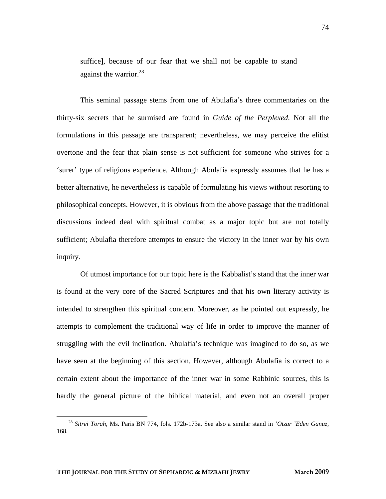suffice], because of our fear that we shall not be capable to stand against the warrior.  $28$ 

This seminal passage stems from one of Abulafia's three commentaries on the thirty-six secrets that he surmised are found in *Guide of the Perplexed*. Not all the formulations in this passage are transparent; nevertheless, we may perceive the elitist overtone and the fear that plain sense is not sufficient for someone who strives for a 'surer' type of religious experience. Although Abulafia expressly assumes that he has a better alternative, he nevertheless is capable of formulating his views without resorting to philosophical concepts. However, it is obvious from the above passage that the traditional discussions indeed deal with spiritual combat as a major topic but are not totally sufficient; Abulafia therefore attempts to ensure the victory in the inner war by his own inquiry.

Of utmost importance for our topic here is the Kabbalist's stand that the inner war is found at the very core of the Sacred Scriptures and that his own literary activity is intended to strengthen this spiritual concern. Moreover, as he pointed out expressly, he attempts to complement the traditional way of life in order to improve the manner of struggling with the evil inclination. Abulafia's technique was imagined to do so, as we have seen at the beginning of this section. However, although Abulafia is correct to a certain extent about the importance of the inner war in some Rabbinic sources, this is hardly the general picture of the biblical material, and even not an overall proper

<span id="page-12-0"></span> <sup>28</sup> *Sitrei Torah*, Ms. Paris BN 774, fols. 172b-173a. See also a similar stand in *'Otzar `Eden Ganuz*, 168.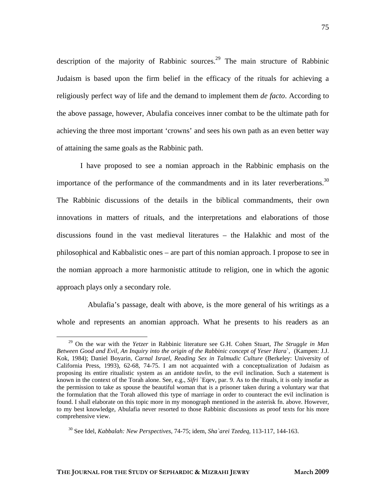description of the majority of Rabbinic sources.<sup>29</sup> The main structure of Rabbinic Judaism is based upon the firm belief in the efficacy of the rituals for achieving a religiously perfect way of life and the demand to implement them *de facto*. According to the above passage, however, Abulafia conceives inner combat to be the ultimate path for achieving the three most important 'crowns' and sees his own path as an even better way of attaining the same goals as the Rabbinic path.

I have proposed to see a nomian approach in the Rabbinic emphasis on the importance of the performance of the commandments and in its later reverberations.<sup>30</sup> The Rabbinic discussions of the details in the biblical commandments, their own innovations in matters of rituals, and the interpretations and elaborations of those discussions found in the vast medieval literatures – the Halakhic and most of the philosophical and Kabbalistic ones – are part of this nomian approach. I propose to see in the nomian approach a more harmonistic attitude to religion, one in which the agonic approach plays only a secondary role.

 Abulafia's passage, dealt with above, is the more general of his writings as a whole and represents an anomian approach. What he presents to his readers as an

<span id="page-13-0"></span> <sup>29</sup> On the war with the *Yetzer* in Rabbinic literature see G.H. Cohen Stuart, *The Struggle in Man Between Good and Evil, An Inquiry into the origin of the Rabbinic concept of Yeser Hara*`, (Kampen: J.J. Kok, 1984); Daniel Boyarin, *Carnal Israel*, *Reading Sex in Talmudic Culture* (Berkeley: University of California Press, 1993), 62-68, 74-75. I am not acquainted with a conceptualization of Judaism as proposing its entire ritualistic system as an antidote *tavlin*, to the evil inclination. Such a statement is known in the context of the Torah alone. See, e.g., *Sifri* `Eqev, par. 9. As to the rituals, it is only insofar as the permission to take as spouse the beautiful woman that is a prisoner taken during a voluntary war that the formulation that the Torah allowed this type of marriage in order to counteract the evil inclination is found. I shall elaborate on this topic more in my monograph mentioned in the asterisk fn. above. However, to my best knowledge, Abulafia never resorted to those Rabbinic discussions as proof texts for his more comprehensive view.

<span id="page-13-1"></span><sup>30</sup> See Idel, *Kabbalah: New Perspectives*, 74-75; idem, *Sha`arei Tzedeq*, 113-117, 144-163.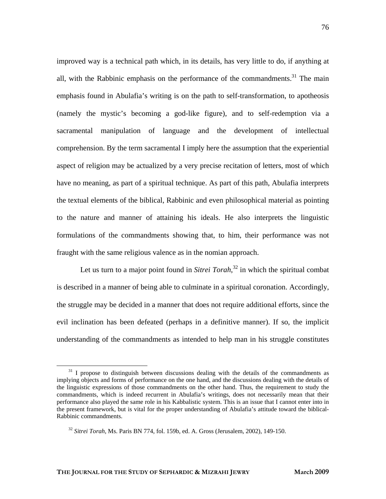improved way is a technical path which, in its details, has very little to do, if anything at all, with the Rabbinic emphasis on the performance of the commandments.<sup>31</sup> The main emphasis found in Abulafia's writing is on the path to self-transformation, to apotheosis (namely the mystic's becoming a god-like figure), and to self-redemption via a sacramental manipulation of language and the development of intellectual comprehension. By the term sacramental I imply here the assumption that the experiential aspect of religion may be actualized by a very precise recitation of letters, most of which have no meaning, as part of a spiritual technique. As part of this path, Abulafia interprets the textual elements of the biblical, Rabbinic and even philosophical material as pointing to the nature and manner of attaining his ideals. He also interprets the linguistic formulations of the commandments showing that, to him, their performance was not fraught with the same religious valence as in the nomian approach.

Let us turn to a major point found in *Sitrei Torah*<sup>32</sup> in which the spiritual combat is described in a manner of being able to culminate in a spiritual coronation. Accordingly, the struggle may be decided in a manner that does not require additional efforts, since the evil inclination has been defeated (perhaps in a definitive manner). If so, the implicit understanding of the commandments as intended to help man in his struggle constitutes

<span id="page-14-0"></span><sup>&</sup>lt;sup>31</sup> I propose to distinguish between discussions dealing with the details of the commandments as implying objects and forms of performance on the one hand, and the discussions dealing with the details of the linguistic expressions of those commandments on the other hand. Thus, the requirement to study the commandments, which is indeed recurrent in Abulafia's writings, does not necessarily mean that their performance also played the same role in his Kabbalistic system. This is an issue that I cannot enter into in the present framework, but is vital for the proper understanding of Abulafia's attitude toward the biblical-Rabbinic commandments.

<span id="page-14-1"></span><sup>32</sup> *Sitrei Torah*, Ms. Paris BN 774, fol. 159b, ed. A. Gross (Jerusalem, 2002), 149-150.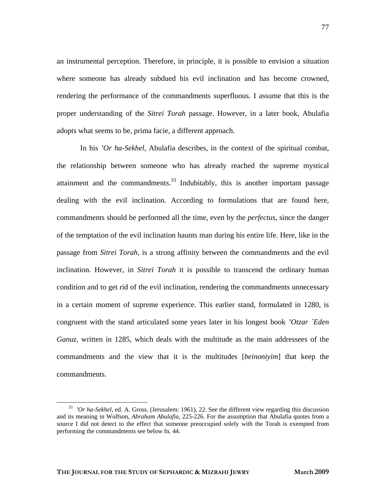an instrumental perception. Therefore, in principle, it is possible to envision a situation where someone has already subdued his evil inclination and has become crowned, rendering the performance of the commandments superfluous. I assume that this is the proper understanding of the *Sitrei Torah* passage. However, in a later book, Abulafia adopts what seems to be, prima facie, a different approach.

In his *'Or ha-Sekhel*, Abulafia describes, in the context of the spiritual combat, the relationship between someone who has already reached the supreme mystical attainment and the commandments. $33$  Indubitably, this is another important passage dealing with the evil inclination. According to formulations that are found here, commandments should be performed all the time, even by the *perfectus*, since the danger of the temptation of the evil inclination haunts man during his entire life. Here, like in the passage from *Sitrei Torah,* is a strong affinity between the commandments and the evil inclination. However, in *Sitrei Torah* it is possible to transcend the ordinary human condition and to get rid of the evil inclination, rendering the commandments unnecessary in a certain moment of supreme experience. This earlier stand, formulated in 1280, is congruent with the stand articulated some years later in his longest book *'Otzar `Eden Ganuz*, written in 1285, which deals with the multitude as the main addressees of the commandments and the view that it is the multitudes [*beinoniyim*] that keep the commandments.

<span id="page-15-0"></span><sup>&</sup>lt;sup>33</sup> 'Or ha-Sekhel, ed. A. Gross, (Jerusalem: 1961), 22. See the different view regarding this discussion and its meaning in Wolfson, *Abraham Abulafia*, 225-226. For the assumption that Abulafia quotes from a source I did not detect to the effect that someone preoccupied solely with the Torah is exempted from performing the commandments see below fn. 44.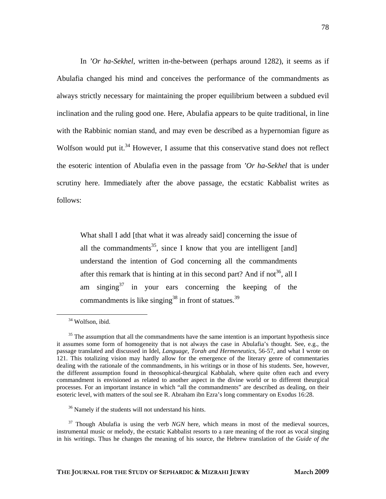In *'Or ha-Sekhel,* written in-the-between (perhaps around 1282), it seems as if Abulafia changed his mind and conceives the performance of the commandments as always strictly necessary for maintaining the proper equilibrium between a subdued evil inclination and the ruling good one. Here, Abulafia appears to be quite traditional, in line with the Rabbinic nomian stand, and may even be described as a hypernomian figure as Wolfson would put it.<sup>34</sup> However, I assume that this conservative stand does not reflect the esoteric intention of Abulafia even in the passage from *'Or ha-Sekhel* that is under scrutiny here. Immediately after the above passage, the ecstatic Kabbalist writes as follows:

What shall I add [that what it was already said] concerning the issue of all the commandments<sup>35</sup>, since I know that you are intelligent [and] understand the intention of God concerning all the commandments after this remark that is hinting at in this second part? And if not<sup>36</sup>, all I am singing $3^7$  in your ears concerning the keeping of the commandments is like singing<sup>38</sup> in front of statues.<sup>39</sup>

<span id="page-16-5"></span><span id="page-16-4"></span><span id="page-16-0"></span><sup>&</sup>lt;sup>34</sup> Wolfson, ibid.

<span id="page-16-1"></span> $35$  The assumption that all the commandments have the same intention is an important hypothesis since it assumes some form of homogeneity that is not always the case in Abulafia's thought. See, e.g., the passage translated and discussed in Idel, *Language, Torah and Hermeneutics*, 56-57, and what I wrote on 121. This totalizing vision may hardly allow for the emergence of the literary genre of commentaries dealing with the rationale of the commandments, in his writings or in those of his students. See, however, the different assumption found in theosophical-theurgical Kabbalah, where quite often each and every commandment is envisioned as related to another aspect in the divine world or to different theurgical processes. For an important instance in which "all the commandments" are described as dealing, on their esoteric level, with matters of the soul see R. Abraham ibn Ezra's long commentary on Exodus 16:28.

<span id="page-16-2"></span><sup>36</sup> Namely if the students will not understand his hints.

<span id="page-16-3"></span><sup>&</sup>lt;sup>37</sup> Though Abulafia is using the verb *NGN* here, which means in most of the medieval sources, instrumental music or melody, the ecstatic Kabbalist resorts to a rare meaning of the root as vocal singing in his writings. Thus he changes the meaning of his source, the Hebrew translation of the *Guide of the*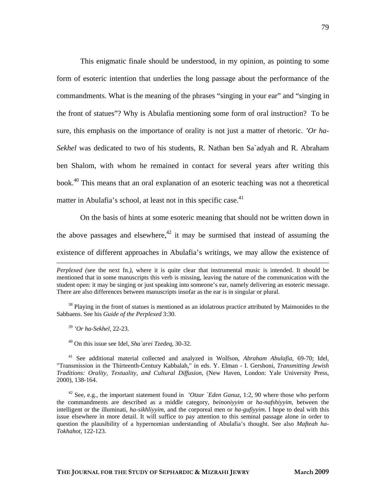This enigmatic finale should be understood, in my opinion, as pointing to some form of esoteric intention that underlies the long passage about the performance of the commandments. What is the meaning of the phrases "singing in your ear" and "singing in the front of statues"? Why is Abulafia mentioning some form of oral instruction? To be sure, this emphasis on the importance of orality is not just a matter of rhetoric. *'Or ha-Sekhel* was dedicated to two of his students, R. Nathan ben Sa`adyah and R. Abraham ben Shalom, with whom he remained in contact for several years after writing this book.<sup>40</sup> This means that an oral explanation of an esoteric teaching was not a theoretical matter in Abulafia's school, at least not in this specific case.<sup>41</sup>

On the basis of hints at some esoteric meaning that should not be written down in the above passages and elsewhere, $42$  it may be surmised that instead of assuming the existence of different approaches in Abulafia's writings, we may allow the existence of

<sup>39</sup> *'Or ha-Sekhel*, 22-23.

1

<span id="page-17-0"></span>40 On this issue see Idel, *Sha`arei Tzedeq*, 30-32.

<span id="page-17-1"></span>41 See additional material collected and analyzed in Wolfson, *Abraham Abulafia*, 69-70; Idel, "Transmission in the Thirteenth-Century Kabbalah," in eds. Y. Elman - I. Gershoni, *Transmitting Jewish Traditions: Orality, Textuality, and Cultural Diffusion*, (New Haven, London: Yale University Press, 2000), 138-164.

<span id="page-17-2"></span><sup>42</sup> See, e.g., the important statement found in *'Otzar `Eden Ganuz*, 1:2, 90 where those who perform the commandments are described as a middle category, *beinoniyyim* or *ha-nafshiyyim*, between the intelligent or the illuminati, *ha-sikhliyyim*, and the corporeal men or *ha-gufiyyim*. I hope to deal with this issue elsewhere in more detail. It will suffice to pay attention to this seminal passage alone in order to question the plausibility of a hypernomian understanding of Abulafia's thought. See also *Mafteah ha-Tokhahot*, 122-123.

*Perplexed (*see the next fn.*)*, where it is quite clear that instrumental music is intended. It should be mentioned that in some manuscripts this verb is missing, leaving the nature of the communication with the student open: it may be singing or just speaking into someone's ear, namely delivering an esoteric message. There are also differences between manuscripts insofar as the ear is in singular or plural.

<sup>&</sup>lt;sup>38</sup> Playing in the front of statues is mentioned as an idolatrous practice attributed by Maimonides to the Sabbaens. See his *Guide of the Perplexed* 3:30.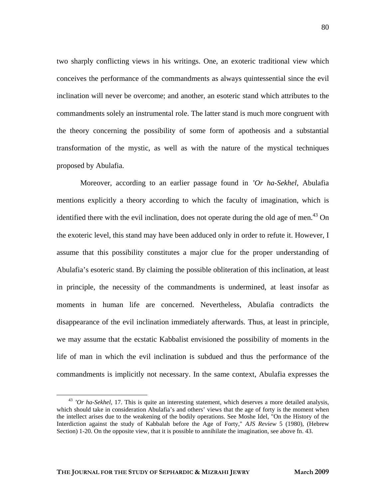two sharply conflicting views in his writings. One, an exoteric traditional view which conceives the performance of the commandments as always quintessential since the evil inclination will never be overcome; and another, an esoteric stand which attributes to the commandments solely an instrumental role. The latter stand is much more congruent with the theory concerning the possibility of some form of apotheosis and a substantial transformation of the mystic, as well as with the nature of the mystical techniques proposed by Abulafia.

Moreover, according to an earlier passage found in *'Or ha-Sekhel*, Abulafia mentions explicitly a theory according to which the faculty of imagination, which is identified there with the evil inclination, does not operate during the old age of men.<sup>43</sup> On the exoteric level, this stand may have been adduced only in order to refute it. However, I assume that this possibility constitutes a major clue for the proper understanding of Abulafia's esoteric stand. By claiming the possible obliteration of this inclination, at least in principle, the necessity of the commandments is undermined, at least insofar as moments in human life are concerned. Nevertheless, Abulafia contradicts the disappearance of the evil inclination immediately afterwards. Thus, at least in principle, we may assume that the ecstatic Kabbalist envisioned the possibility of moments in the life of man in which the evil inclination is subdued and thus the performance of the commandments is implicitly not necessary. In the same context, Abulafia expresses the

<span id="page-18-0"></span><sup>&</sup>lt;sup>43</sup> *'Or ha-Sekhel*, 17. This is quite an interesting statement, which deserves a more detailed analysis, which should take in consideration Abulafia's and others' views that the age of forty is the moment when the intellect arises due to the weakening of the bodily operations. See Moshe Idel, "On the History of the Interdiction against the study of Kabbalah before the Age of Forty," *AJS Review* 5 (1980), (Hebrew Section) 1-20. On the opposite view, that it is possible to annihilate the imagination, see above fn. 43.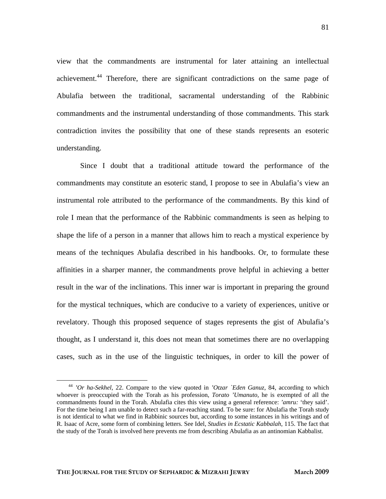view that the commandments are instrumental for later attaining an intellectual achievement.[44](#page-19-0) Therefore, there are significant contradictions on the same page of Abulafia between the traditional, sacramental understanding of the Rabbinic commandments and the instrumental understanding of those commandments. This stark contradiction invites the possibility that one of these stands represents an esoteric understanding.

Since I doubt that a traditional attitude toward the performance of the commandments may constitute an esoteric stand, I propose to see in Abulafia's view an instrumental role attributed to the performance of the commandments. By this kind of role I mean that the performance of the Rabbinic commandments is seen as helping to shape the life of a person in a manner that allows him to reach a mystical experience by means of the techniques Abulafia described in his handbooks. Or, to formulate these affinities in a sharper manner, the commandments prove helpful in achieving a better result in the war of the inclinations. This inner war is important in preparing the ground for the mystical techniques, which are conducive to a variety of experiences, unitive or revelatory. Though this proposed sequence of stages represents the gist of Abulafia's thought, as I understand it, this does not mean that sometimes there are no overlapping cases, such as in the use of the linguistic techniques, in order to kill the power of

<span id="page-19-0"></span> <sup>44</sup> *'Or ha-Sekhel*, 22. Compare to the view quoted in *'Otzar `Eden Ganuz*, 84, according to which whoever is preoccupied with the Torah as his profession, *Torato 'Umanuto*, he is exempted of all the commandments found in the Torah. Abulafia cites this view using a general reference: *'amru:* 'they said'. For the time being I am unable to detect such a far-reaching stand. To be sure: for Abulafia the Torah study is not identical to what we find in Rabbinic sources but, according to some instances in his writings and of R. Isaac of Acre, some form of combining letters. See Idel, *Studies in Ecstatic Kabbalah*, 115. The fact that the study of the Torah is involved here prevents me from describing Abulafia as an antinomian Kabbalist.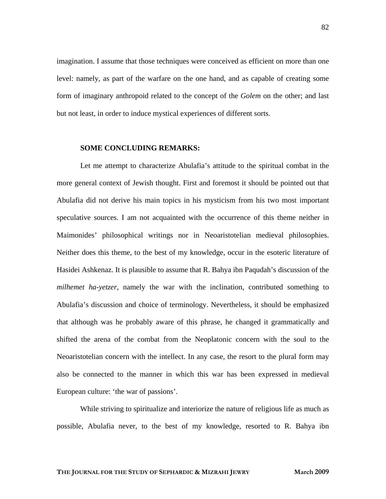imagination. I assume that those techniques were conceived as efficient on more than one level: namely, as part of the warfare on the one hand, and as capable of creating some form of imaginary anthropoid related to the concept of the *Golem* on the other; and last but not least, in order to induce mystical experiences of different sorts.

#### **SOME CONCLUDING REMARKS:**

Let me attempt to characterize Abulafia's attitude to the spiritual combat in the more general context of Jewish thought. First and foremost it should be pointed out that Abulafia did not derive his main topics in his mysticism from his two most important speculative sources. I am not acquainted with the occurrence of this theme neither in Maimonides' philosophical writings nor in Neoaristotelian medieval philosophies. Neither does this theme, to the best of my knowledge, occur in the esoteric literature of Hasidei Ashkenaz. It is plausible to assume that R. Bahya ibn Paqudah's discussion of the *milhemet ha-yetzer*, namely the war with the inclination, contributed something to Abulafia's discussion and choice of terminology. Nevertheless, it should be emphasized that although was he probably aware of this phrase, he changed it grammatically and shifted the arena of the combat from the Neoplatonic concern with the soul to the Neoaristotelian concern with the intellect. In any case, the resort to the plural form may also be connected to the manner in which this war has been expressed in medieval European culture: 'the war of passions'.

While striving to spiritualize and interiorize the nature of religious life as much as possible, Abulafia never, to the best of my knowledge, resorted to R. Bahya ibn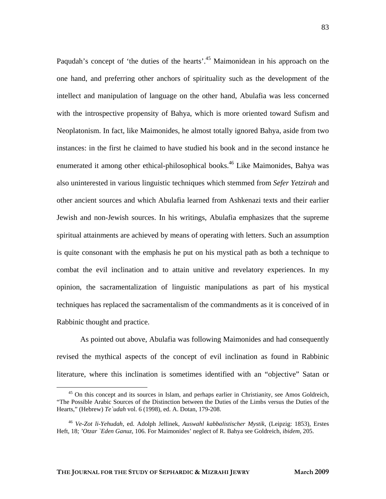Paqudah's concept of 'the duties of the hearts'.<sup>45</sup> Maimonidean in his approach on the one hand, and preferring other anchors of spirituality such as the development of the intellect and manipulation of language on the other hand, Abulafia was less concerned with the introspective propensity of Bahya, which is more oriented toward Sufism and Neoplatonism. In fact, like Maimonides, he almost totally ignored Bahya, aside from two instances: in the first he claimed to have studied his book and in the second instance he enumerated it among other ethical-philosophical books.<sup>46</sup> Like Maimonides, Bahya was also uninterested in various linguistic techniques which stemmed from *Sefer Yetzirah* and other ancient sources and which Abulafia learned from Ashkenazi texts and their earlier Jewish and non-Jewish sources. In his writings, Abulafia emphasizes that the supreme spiritual attainments are achieved by means of operating with letters. Such an assumption is quite consonant with the emphasis he put on his mystical path as both a technique to combat the evil inclination and to attain unitive and revelatory experiences. In my opinion, the sacramentalization of linguistic manipulations as part of his mystical techniques has replaced the sacramentalism of the commandments as it is conceived of in Rabbinic thought and practice.

As pointed out above, Abulafia was following Maimonides and had consequently revised the mythical aspects of the concept of evil inclination as found in Rabbinic literature, where this inclination is sometimes identified with an "objective" Satan or

<span id="page-21-0"></span><sup>&</sup>lt;sup>45</sup> On this concept and its sources in Islam, and perhaps earlier in Christianity, see Amos Goldreich, "The Possible Arabic Sources of the Distinction between the Duties of the Limbs versus the Duties of the Hearts," (Hebrew) *Te`udah* vol. 6 (1998), ed. A. Dotan, 179-208.

<span id="page-21-1"></span><sup>46</sup> *Ve-Zot li-Yehudah*, ed. Adolph Jellinek, *Auswahl kabbalistischer Mystik*, (Leipzig: 1853), Erstes Heft, 18; *'Otzar `Eden Ganuz*, 106. For Maimonides' neglect of R. Bahya see Goldreich*, ibidem*, 205.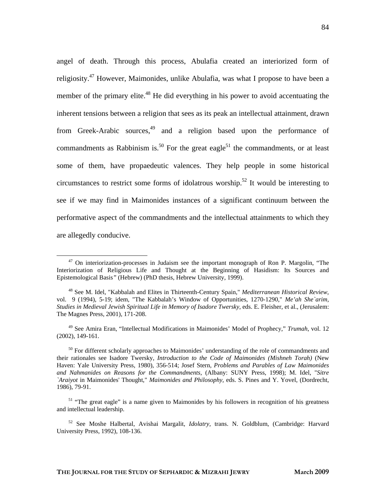angel of death. Through this process, Abulafia created an interiorized form of religiosity.<sup>47</sup> However, Maimonides, unlike Abulafia, was what I propose to have been a member of the primary elite.<sup>48</sup> He did everything in his power to avoid accentuating the inherent tensions between a religion that sees as its peak an intellectual attainment, drawn from Greek-Arabic sources, $49$  and a religion based upon the performance of commandments as Rabbinism is.<sup>50</sup> For the great eagle<sup>51</sup> the commandments, or at least some of them, have propaedeutic valences. They help people in some historical circumstances to restrict some forms of idolatrous worship.<sup>52</sup> It would be interesting to see if we may find in Maimonides instances of a significant continuum between the performative aspect of the commandments and the intellectual attainments to which they are allegedly conducive.

<span id="page-22-0"></span> $47$  On interiorization-processes in Judaism see the important monograph of Ron P. Margolin, "The Interiorization of Religious Life and Thought at the Beginning of Hasidism: Its Sources and Epistemological Basis*"* (Hebrew) (PhD thesis, Hebrew University, 1999).

<span id="page-22-1"></span><sup>48</sup> See M. Idel, "Kabbalah and Elites in Thirteenth-Century Spain," *Mediterranean Historical Review*, vol. 9 (1994), 5-19; idem, "The Kabbalah's Window of Opportunities, 1270-1290," *Me'ah She`arim, Studies in Medieval Jewish Spiritual Life in Memory of Isadore Twersky*, eds. E. Fleisher, et al., (Jerusalem: The Magnes Press, 2001), 171-208.

<span id="page-22-2"></span><sup>49</sup> See Amira Eran, "Intellectual Modifications in Maimonides' Model of Prophecy," *Trumah*, vol. 12 (2002), 149-161.

<span id="page-22-3"></span><sup>&</sup>lt;sup>50</sup> For different scholarly approaches to Maimonides' understanding of the role of commandments and their rationales see Isadore Twersky, *Introduction to the Code of Maimonides (Mishneh Torah)* (New Haven: Yale University Press, 1980), 356-514; Josef Stern, *Problems and Parables of Law Maimonides and Nahmanides on Reasons for the Commandments*, (Albany: SUNY Press, 1998); M. Idel, "*Sitre `Araiyot* in Maimonides' Thought," *Maimonides and Philosophy,* eds. S. Pines and Y. Yovel, (Dordrecht, 1986), 79-91.

<span id="page-22-4"></span><sup>&</sup>lt;sup>51</sup> "The great eagle" is a name given to Maimonides by his followers in recognition of his greatness and intellectual leadership.

<span id="page-22-5"></span><sup>52</sup> See Moshe Halbertal, Avishai Margalit, *Idolatry,* trans. N. Goldblum, (Cambridge: Harvard University Press, 1992), 108-136.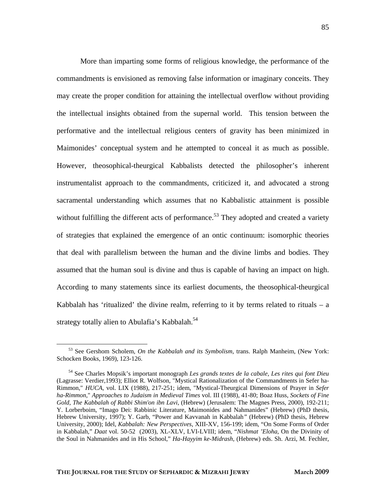More than imparting some forms of religious knowledge, the performance of the commandments is envisioned as removing false information or imaginary conceits. They may create the proper condition for attaining the intellectual overflow without providing the intellectual insights obtained from the supernal world. This tension between the performative and the intellectual religious centers of gravity has been minimized in Maimonides' conceptual system and he attempted to conceal it as much as possible. However, theosophical-theurgical Kabbalists detected the philosopher's inherent instrumentalist approach to the commandments, criticized it, and advocated a strong sacramental understanding which assumes that no Kabbalistic attainment is possible without fulfilling the different acts of performance.<sup>53</sup> They adopted and created a variety of strategies that explained the emergence of an ontic continuum: isomorphic theories that deal with parallelism between the human and the divine limbs and bodies. They assumed that the human soul is divine and thus is capable of having an impact on high. According to many statements since its earliest documents, the theosophical-theurgical Kabbalah has 'ritualized' the divine realm, referring to it by terms related to rituals  $-$  a strategy totally alien to Abulafia's Kabbalah.<sup>54</sup>

<span id="page-23-0"></span> <sup>53</sup> See Gershom Scholem, *On the Kabbalah and its Symbolism*, trans. Ralph Manheim, (New York: Schocken Books, 1969), 123-126.

<span id="page-23-1"></span><sup>54</sup> See Charles Mopsik's important monograph *Les grands textes de la cabale, Les rites qui font Dieu* (Lagrasse: Verdier,1993); Elliot R. Wolfson, "Mystical Rationalization of the Commandments in Sefer ha-Rimmon," *HUCA,* vol. LIX (1988), 217-251; idem, "Mystical-Theurgical Dimensions of Prayer in *Sefer ha-Rimmon*," *Approaches to Judaism in Medieval Times* vol. III (1988), 41-80; Boaz Huss, *Sockets of Fine Gold, The Kabbalah of Rabbi Shim'on ibn Lavi*, (Hebrew) (Jerusalem: The Magnes Press, 2000), 192-211; Y. Lorberboim, "Imago Dei: Rabbinic Literature, Maimonides and Nahmanides" (Hebrew) (PhD thesis, Hebrew University, 1997); Y. Garb, "Power and Kavvanah in Kabbalah*"* (Hebrew) (PhD thesis, Hebrew University, 2000); Idel, *Kabbalah: New Perspectives*, XIII-XV, 156-199; idem, "On Some Forms of Order in Kabbalah," *Daat* vol. 50-52 (2003), XL-XLV, LVI-LVIII; idem, "*Nishmat 'Eloha*, On the Divinity of the Soul in Nahmanides and in His School," *Ha-Hayyim ke-Midrash*, (Hebrew) eds. Sh. Arzi, M. Fechler,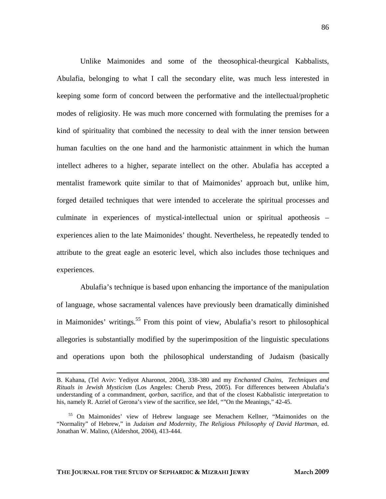Unlike Maimonides and some of the theosophical-theurgical Kabbalists, Abulafia, belonging to what I call the secondary elite, was much less interested in keeping some form of concord between the performative and the intellectual/prophetic modes of religiosity. He was much more concerned with formulating the premises for a kind of spirituality that combined the necessity to deal with the inner tension between human faculties on the one hand and the harmonistic attainment in which the human intellect adheres to a higher, separate intellect on the other. Abulafia has accepted a mentalist framework quite similar to that of Maimonides' approach but, unlike him, forged detailed techniques that were intended to accelerate the spiritual processes and culminate in experiences of mystical-intellectual union or spiritual apotheosis – experiences alien to the late Maimonides' thought. Nevertheless, he repeatedly tended to attribute to the great eagle an esoteric level, which also includes those techniques and experiences.

Abulafia's technique is based upon enhancing the importance of the manipulation of language, whose sacramental valences have previously been dramatically diminished in Maimonides' writings. [55](#page-24-0) From this point of view, Abulafia's resort to philosophical allegories is substantially modified by the superimposition of the linguistic speculations and operations upon both the philosophical understanding of Judaism (basically

**THE JOURNAL FOR THE STUDY OF SEPHARDIC & MIZRAHI JEWRY March 2009**

B. Kahana, (Tel Aviv: Yediyot Aharonot, 2004), 338-380 and my *Enchanted Chains, Techniques and Rituals in Jewish Mysticism* (Los Angeles: Cherub Press, 2005). For differences between Abulafia's understanding of a commandment, *qorban*, sacrifice, and that of the closest Kabbalistic interpretation to his, namely R. Azriel of Gerona's view of the sacrifice, see Idel, ""On the Meanings," 42-45.

<span id="page-24-0"></span><sup>55</sup> On Maimonides' view of Hebrew language see Menachem Kellner, "Maimonides on the "Normality" of Hebrew," in *Judaism and Modernity, The Religious Philosophy of David Hartman*, ed. Jonathan W. Malino, (Aldershot, 2004), 413-444.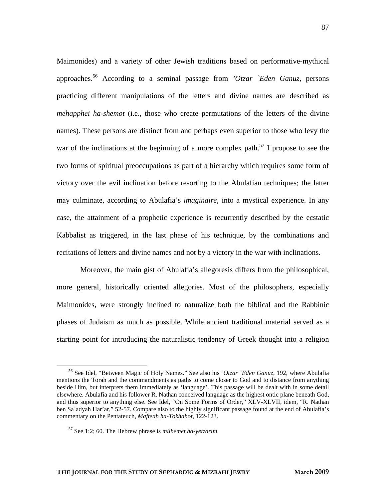Maimonides) and a variety of other Jewish traditions based on performative-mythical approaches[.56](#page-25-0) According to a seminal passage from *'Otzar `Eden Ganuz*, persons practicing different manipulations of the letters and divine names are described as *mehapphei ha-shemot* (i.e., those who create permutations of the letters of the divine names). These persons are distinct from and perhaps even superior to those who levy the war of the inclinations at the beginning of a more complex path.<sup>57</sup> I propose to see the two forms of spiritual preoccupations as part of a hierarchy which requires some form of victory over the evil inclination before resorting to the Abulafian techniques; the latter may culminate, according to Abulafia's *imaginaire*, into a mystical experience. In any case, the attainment of a prophetic experience is recurrently described by the ecstatic Kabbalist as triggered, in the last phase of his technique, by the combinations and recitations of letters and divine names and not by a victory in the war with inclinations.

Moreover, the main gist of Abulafia's allegoresis differs from the philosophical, more general, historically oriented allegories. Most of the philosophers, especially Maimonides, were strongly inclined to naturalize both the biblical and the Rabbinic phases of Judaism as much as possible. While ancient traditional material served as a starting point for introducing the naturalistic tendency of Greek thought into a religion

87

<span id="page-25-0"></span> <sup>56</sup> See Idel, "Between Magic of Holy Names." See also his *'Otzar `Eden Ganuz*, 192, where Abulafia mentions the Torah and the commandments as paths to come closer to God and to distance from anything beside Him, but interprets them immediately as 'language'. This passage will be dealt with in some detail elsewhere. Abulafia and his follower R. Nathan conceived language as the highest ontic plane beneath God, and thus superior to anything else. See Idel, "On Some Forms of Order," XLV-XLVII, idem, "R. Nathan ben Sa`adyah Har'ar," 52-57. Compare also to the highly significant passage found at the end of Abulafia's commentary on the Pentateuch, *Mafteah ha-Tokhahot*, 122-123.

<span id="page-25-1"></span><sup>57</sup> See 1:2; 60. The Hebrew phrase is *milhemet ha-yetzarim*.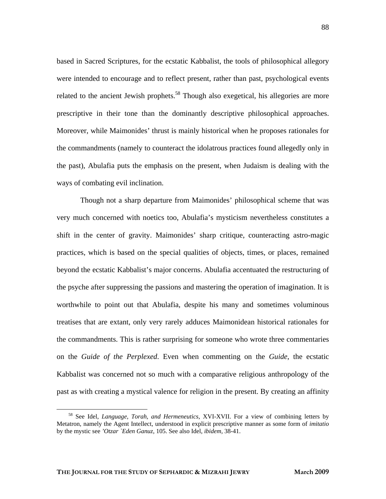based in Sacred Scriptures, for the ecstatic Kabbalist, the tools of philosophical allegory were intended to encourage and to reflect present, rather than past, psychological events related to the ancient Jewish prophets.<sup>58</sup> Though also exegetical, his allegories are more prescriptive in their tone than the dominantly descriptive philosophical approaches. Moreover, while Maimonides' thrust is mainly historical when he proposes rationales for the commandments (namely to counteract the idolatrous practices found allegedly only in the past), Abulafia puts the emphasis on the present, when Judaism is dealing with the ways of combating evil inclination.

Though not a sharp departure from Maimonides' philosophical scheme that was very much concerned with noetics too, Abulafia's mysticism nevertheless constitutes a shift in the center of gravity. Maimonides' sharp critique, counteracting astro-magic practices, which is based on the special qualities of objects, times, or places, remained beyond the ecstatic Kabbalist's major concerns. Abulafia accentuated the restructuring of the psyche after suppressing the passions and mastering the operation of imagination. It is worthwhile to point out that Abulafia, despite his many and sometimes voluminous treatises that are extant, only very rarely adduces Maimonidean historical rationales for the commandments. This is rather surprising for someone who wrote three commentaries on the *Guide of the Perplexed*. Even when commenting on the *Guide*, the ecstatic Kabbalist was concerned not so much with a comparative religious anthropology of the past as with creating a mystical valence for religion in the present. By creating an affinity

<span id="page-26-0"></span> <sup>58</sup> See Idel, *Language, Torah, and Hermeneutics*, XVI-XVII. For a view of combining letters by Metatron, namely the Agent Intellect, understood in explicit prescriptive manner as some form of *imitatio*  by the mystic see *'Otzar `Eden Ganuz*, 105. See also Idel, *ibidem,* 38-41.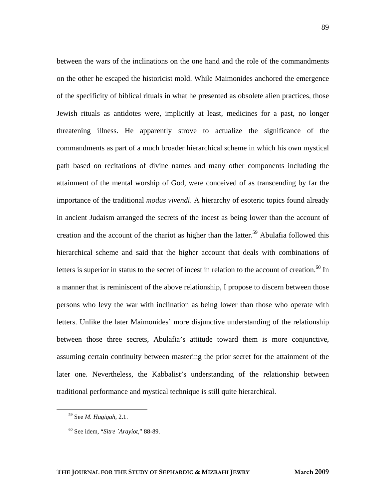between the wars of the inclinations on the one hand and the role of the commandments on the other he escaped the historicist mold. While Maimonides anchored the emergence of the specificity of biblical rituals in what he presented as obsolete alien practices, those Jewish rituals as antidotes were, implicitly at least, medicines for a past, no longer threatening illness. He apparently strove to actualize the significance of the commandments as part of a much broader hierarchical scheme in which his own mystical path based on recitations of divine names and many other components including the attainment of the mental worship of God, were conceived of as transcending by far the importance of the traditional *modus vivendi*. A hierarchy of esoteric topics found already in ancient Judaism arranged the secrets of the incest as being lower than the account of creation and the account of the chariot as higher than the latter.<sup>59</sup> Abulafia followed this hierarchical scheme and said that the higher account that deals with combinations of letters is superior in status to the secret of incest in relation to the account of creation.<sup>60</sup> In a manner that is reminiscent of the above relationship, I propose to discern between those persons who levy the war with inclination as being lower than those who operate with letters. Unlike the later Maimonides' more disjunctive understanding of the relationship between those three secrets, Abulafia's attitude toward them is more conjunctive, assuming certain continuity between mastering the prior secret for the attainment of the later one. Nevertheless, the Kabbalist's understanding of the relationship between traditional performance and mystical technique is still quite hierarchical.

<span id="page-27-0"></span> <sup>59</sup> See *M. Hagigah*, 2.1.

<span id="page-27-1"></span><sup>60</sup> See idem, "*Sitre `Arayiot*," 88-89.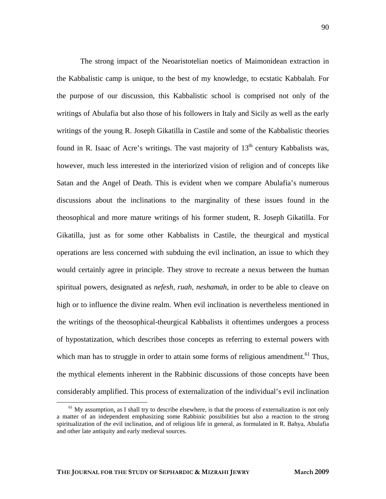The strong impact of the Neoaristotelian noetics of Maimonidean extraction in the Kabbalistic camp is unique, to the best of my knowledge, to ecstatic Kabbalah. For the purpose of our discussion, this Kabbalistic school is comprised not only of the writings of Abulafia but also those of his followers in Italy and Sicily as well as the early writings of the young R. Joseph Gikatilla in Castile and some of the Kabbalistic theories found in R. Isaac of Acre's writings. The vast majority of  $13<sup>th</sup>$  century Kabbalists was, however, much less interested in the interiorized vision of religion and of concepts like Satan and the Angel of Death. This is evident when we compare Abulafia's numerous discussions about the inclinations to the marginality of these issues found in the theosophical and more mature writings of his former student, R. Joseph Gikatilla. For Gikatilla, just as for some other Kabbalists in Castile, the theurgical and mystical operations are less concerned with subduing the evil inclination, an issue to which they would certainly agree in principle. They strove to recreate a nexus between the human spiritual powers, designated as *nefesh, ruah, neshamah*, in order to be able to cleave on high or to influence the divine realm. When evil inclination is nevertheless mentioned in the writings of the theosophical-theurgical Kabbalists it oftentimes undergoes a process of hypostatization, which describes those concepts as referring to external powers with which man has to struggle in order to attain some forms of religious amendment.<sup>61</sup> Thus, the mythical elements inherent in the Rabbinic discussions of those concepts have been considerably amplified. This process of externalization of the individual's evil inclination

<span id="page-28-0"></span> $<sup>61</sup>$  My assumption, as I shall try to describe elsewhere, is that the process of externalization is not only</sup> a matter of an independent emphasizing some Rabbinic possibilities but also a reaction to the strong spiritualization of the evil inclination, and of religious life in general, as formulated in R. Bahya, Abulafia and other late antiquity and early medieval sources.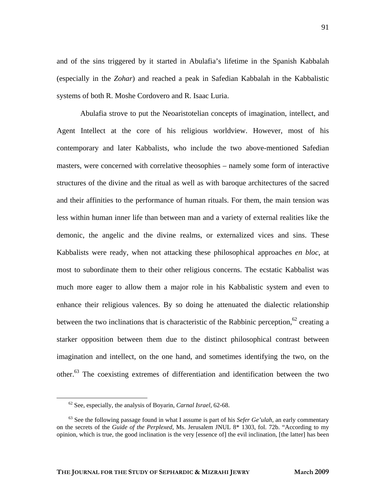and of the sins triggered by it started in Abulafia's lifetime in the Spanish Kabbalah (especially in the *Zohar*) and reached a peak in Safedian Kabbalah in the Kabbalistic systems of both R. Moshe Cordovero and R. Isaac Luria.

Abulafia strove to put the Neoaristotelian concepts of imagination, intellect, and Agent Intellect at the core of his religious worldview. However, most of his contemporary and later Kabbalists, who include the two above-mentioned Safedian masters, were concerned with correlative theosophies – namely some form of interactive structures of the divine and the ritual as well as with baroque architectures of the sacred and their affinities to the performance of human rituals. For them, the main tension was less within human inner life than between man and a variety of external realities like the demonic, the angelic and the divine realms, or externalized vices and sins. These Kabbalists were ready, when not attacking these philosophical approaches *en bloc*, at most to subordinate them to their other religious concerns. The ecstatic Kabbalist was much more eager to allow them a major role in his Kabbalistic system and even to enhance their religious valences. By so doing he attenuated the dialectic relationship between the two inclinations that is characteristic of the Rabbinic perception,  $62$  creating a starker opposition between them due to the distinct philosophical contrast between imagination and intellect, on the one hand, and sometimes identifying the two, on the other.<sup>63</sup> The coexisting extremes of differentiation and identification between the two

<span id="page-29-0"></span> <sup>62</sup> See, especially, the analysis of Boyarin, *Carnal Israel*, 62-68.

<span id="page-29-1"></span><sup>63</sup> See the following passage found in what I assume is part of his *Sefer Ge'ulah*, an early commentary on the secrets of the *Guide of the Perplexed*, Ms. Jerusalem JNUL 8\* 1303, fol. 72b. "According to my opinion, which is true, the good inclination is the very [essence of] the evil inclination, [the latter] has been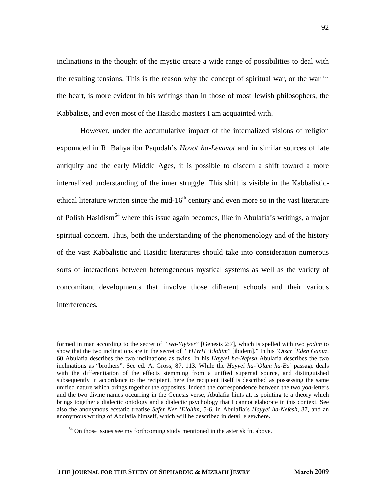inclinations in the thought of the mystic create a wide range of possibilities to deal with the resulting tensions. This is the reason why the concept of spiritual war, or the war in the heart, is more evident in his writings than in those of most Jewish philosophers, the Kabbalists, and even most of the Hasidic masters I am acquainted with.

However, under the accumulative impact of the internalized visions of religion expounded in R. Bahya ibn Paqudah's *Hovot ha-Levavot* and in similar sources of late antiquity and the early Middle Ages, it is possible to discern a shift toward a more internalized understanding of the inner struggle. This shift is visible in the Kabbalisticethical literature written since the mid- $16<sup>th</sup>$  century and even more so in the vast literature of Polish Hasidism<sup>64</sup> where this issue again becomes, like in Abulafia's writings, a major spiritual concern. Thus, both the understanding of the phenomenology and of the history of the vast Kabbalistic and Hasidic literatures should take into consideration numerous sorts of interactions between heterogeneous mystical systems as well as the variety of concomitant developments that involve those different schools and their various interferences.

formed in man according to the secret of "*wa-Yiytzer*" [Genesis 2:7], which is spelled with two *yodim* to show that the two inclinations are in the secret of "*YHWH 'Elohim*" [ibidem]." In his *'Otzar `Eden Ganuz*, 60 Abulafia describes the two inclinations as twins. In his *Hayyei ha-Nefesh* Abulafia describes the two inclinations as "brothers". See ed. A. Gross, 87, 113. While the *Hayyei ha-`Olam ha-Ba'* passage deals with the differentiation of the effects stemming from a unified supernal source, and distinguished subsequently in accordance to the recipient, here the recipient itself is described as possessing the same unified nature which brings together the opposites. Indeed the correspondence between the two *yod-*letters and the two divine names occurring in the Genesis verse, Abulafia hints at, is pointing to a theory which brings together a dialectic ontology and a dialectic psychology that I cannot elaborate in this context. See also the anonymous ecstatic treatise *Sefer Ner 'Elohim*, 5-6, in Abulafia's *Hayyei ha-Nefesh*, 87, and an anonymous writing of Abulafia himself, which will be described in detail elsewhere.

<span id="page-30-0"></span> $64$  On those issues see my forthcoming study mentioned in the asterisk fn. above.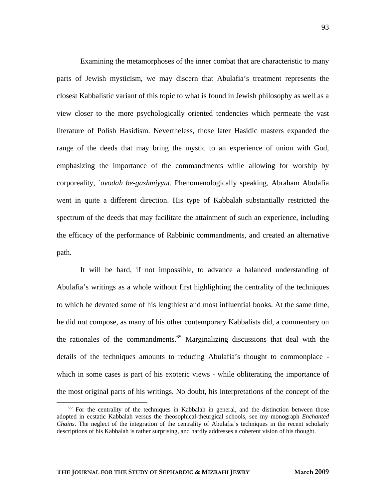Examining the metamorphoses of the inner combat that are characteristic to many parts of Jewish mysticism, we may discern that Abulafia's treatment represents the closest Kabbalistic variant of this topic to what is found in Jewish philosophy as well as a view closer to the more psychologically oriented tendencies which permeate the vast literature of Polish Hasidism. Nevertheless, those later Hasidic masters expanded the range of the deeds that may bring the mystic to an experience of union with God, emphasizing the importance of the commandments while allowing for worship by corporeality, `*avodah be-gashmiyyut*. Phenomenologically speaking, Abraham Abulafia went in quite a different direction. His type of Kabbalah substantially restricted the spectrum of the deeds that may facilitate the attainment of such an experience, including the efficacy of the performance of Rabbinic commandments, and created an alternative path.

It will be hard, if not impossible, to advance a balanced understanding of Abulafia's writings as a whole without first highlighting the centrality of the techniques to which he devoted some of his lengthiest and most influential books. At the same time, he did not compose, as many of his other contemporary Kabbalists did, a commentary on the rationales of the commandments. $65$  Marginalizing discussions that deal with the details of the techniques amounts to reducing Abulafia's thought to commonplace which in some cases is part of his exoteric views - while obliterating the importance of the most original parts of his writings. No doubt, his interpretations of the concept of the

<span id="page-31-0"></span><sup>65</sup> For the centrality of the techniques in Kabbalah in general, and the distinction between those adopted in ecstatic Kabbalah versus the theosophical-theurgical schools, see my monograph *Enchanted Chains*. The neglect of the integration of the centrality of Abulafia's techniques in the recent scholarly descriptions of his Kabbalah is rather surprising, and hardly addresses a coherent vision of his thought.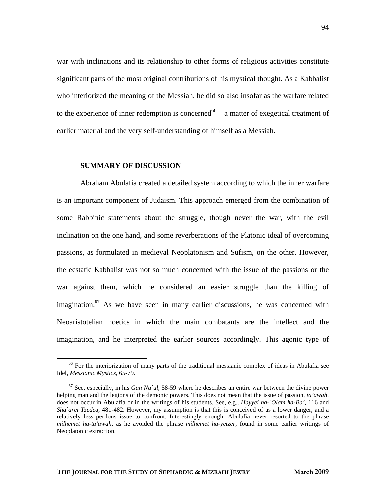war with inclinations and its relationship to other forms of religious activities constitute significant parts of the most original contributions of his mystical thought. As a Kabbalist who interiorized the meaning of the Messiah, he did so also insofar as the warfare related to the experience of inner redemption is concerned<sup>66</sup> – a matter of exegetical treatment of earlier material and the very self-understanding of himself as a Messiah.

#### **SUMMARY OF DISCUSSION**

Abraham Abulafia created a detailed system according to which the inner warfare is an important component of Judaism. This approach emerged from the combination of some Rabbinic statements about the struggle, though never the war, with the evil inclination on the one hand, and some reverberations of the Platonic ideal of overcoming passions, as formulated in medieval Neoplatonism and Sufism, on the other. However, the ecstatic Kabbalist was not so much concerned with the issue of the passions or the war against them, which he considered an easier struggle than the killing of imagination.<sup>67</sup> As we have seen in many earlier discussions, he was concerned with Neoaristotelian noetics in which the main combatants are the intellect and the imagination, and he interpreted the earlier sources accordingly. This agonic type of

<span id="page-32-0"></span><sup>&</sup>lt;sup>66</sup> For the interiorization of many parts of the traditional messianic complex of ideas in Abulafia see Idel, *Messianic Mystics*, 65-79.

<span id="page-32-1"></span><sup>67</sup> See, especially, in his *Gan Na`ul*, 58-59 where he describes an entire war between the divine power helping man and the legions of the demonic powers. This does not mean that the issue of passion, *ta'awah,* does not occur in Abulafia or in the writings of his students. See, e.g., *Hayyei ha-`Olam ha-Ba'*, 116 and *Sha`arei Tzedeq*, 481-482. However, my assumption is that this is conceived of as a lower danger, and a relatively less perilous issue to confront. Interestingly enough, Abulafia never resorted to the phrase *milhemet ha-ta'awah*, as he avoided the phrase *milhemet ha-yetzer*, found in some earlier writings of Neoplatonic extraction.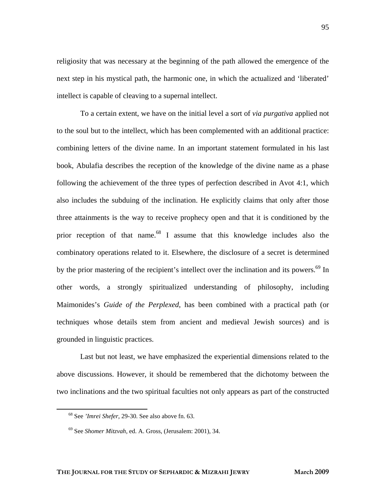religiosity that was necessary at the beginning of the path allowed the emergence of the next step in his mystical path, the harmonic one, in which the actualized and 'liberated' intellect is capable of cleaving to a supernal intellect.

To a certain extent, we have on the initial level a sort of *via purgativa* applied not to the soul but to the intellect, which has been complemented with an additional practice: combining letters of the divine name. In an important statement formulated in his last book, Abulafia describes the reception of the knowledge of the divine name as a phase following the achievement of the three types of perfection described in Avot 4:1, which also includes the subduing of the inclination. He explicitly claims that only after those three attainments is the way to receive prophecy open and that it is conditioned by the prior reception of that name.<sup>68</sup> I assume that this knowledge includes also the combinatory operations related to it. Elsewhere, the disclosure of a secret is determined by the prior mastering of the recipient's intellect over the inclination and its powers.<sup>69</sup> In other words, a strongly spiritualized understanding of philosophy, including Maimonides's *Guide of the Perplexed*, has been combined with a practical path (or techniques whose details stem from ancient and medieval Jewish sources) and is grounded in linguistic practices.

Last but not least, we have emphasized the experiential dimensions related to the above discussions. However, it should be remembered that the dichotomy between the two inclinations and the two spiritual faculties not only appears as part of the constructed

<span id="page-33-0"></span> <sup>68</sup> See *'Imrei Shefer*, 29-30. See also above fn. 63.

<span id="page-33-1"></span><sup>69</sup> See *Shomer Mitzvah*, ed. A. Gross, (Jerusalem: 2001), 34.